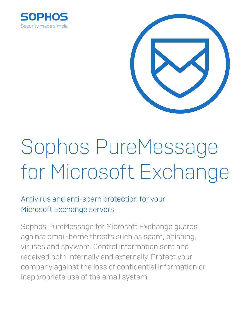



# Sophos PureMessage for Microsoft Exchange

# Antivirus and anti-spam protection for your Microsoft Exchange servers

Sophos PureMessage for Microsoft Exchange guards against email-borne threats such as spam, phishing, viruses and spyware. Control information sent and received both internally and externally. Protect your company against the loss of confidential information or inappropriate use of the email system.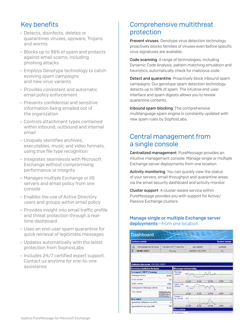## **Key benefits**

- ▶ Detects, disinfects, deletes or quarantines viruses, spyware, Troians and worms
- ▶ Blocks up to 98% of spam and protects against email scams, including phishing attacks
- Employs Genotype technology to catch evolving spam campaigns and new virus variants
- ▶ Provides consistent and automatic email policy enforcement
- ▶ Prevents confidential and sensitive information being emailed out of the organization
- ▶ Controls attachment types contained within inbound, outbound and internal email
- ▶ Uniquely identifies archives. executables, music and video formats, using true file type recognition
- Integrates seamlessly with Microsoft Exchange without compromising performance or integrity
- ▶ Manages multiple Exchange or IIS servers and email policy from one console
- ▶ Enables the use of Active Directory users and groups within email policy
- ▶ Provides insight into email traffic profile and threat protection through a realtime dashboard
- ▸ Uses an end-user spam quarantine for quick retrieval of legitimate messages
- ▶ Updates automatically with the latest protection from SophosLabs
- Includes 24/7 certified expert support. Contact us anytime for one-to-one assistance

## **Comprehensive multithreat** protection

**Prevent viruses** Genotype virus detection technology proactively blocks families of viruses even before specific virus signatures are available.

**Code scanning** A range of technologies, including Dynamic Code Analysis, pattern matching emulation and heuristics, automatically check for malicious code.

Detect and quarantine Proactively block inbound spam campaigns. Our genotype spam detection technology detects up to 98% of spam. The intuitive end-user interface and spam digests allows you to review quarantine contents.

Inbound spam blocking The comprehensive multilanguage spam engine is constantly updated with new spam rules by SophosLabs.

## **Central management from** a single console

Centralized management PureMessage provides an intuitive management console. Manage single or multiple Exchange server deployments from one location.

Activity monitoring You can quickly view the status of your servers, email throughput and quarantine areas, via the email security dashboard and activity monitor.

**Cluster support** A cluster-aware service within PureMessage provides you with support for Active/ Passive Exchange clusters.

#### Manage single or multiple Exchange server deployments-from one location.

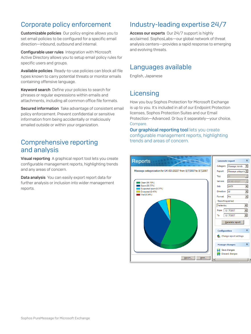## Corporate policy enforcement

Customizable policies Our policy engine allows you to set email policies to be configured for a specific email direction—inbound, outbound and internal.

Configurable user rules Integration with Microsoft Active Directory allows you to setup email policy rules for specific users and groups.

Available policies Ready-to-use policies can block all file types known to carry potential threats or monitor emails containing offensive language.

Keyword search Define your policies to search for phrases or regular expressions within emails and attachments, including all common office file formats.

Secured information Take advantage of consistent email policy enforcement. Prevent confidential or sensitive information from being accidentally or maliciously emailed outside or within your organization.

#### Comprehensive reporting and analysis

Visual reporting A graphical report tool lets you create configurable management reports, highlighting trends and any areas of concern.

Data analysis You can easily export report data for further analysis or inclusion into wider management reports.

## Industry-leading expertise 24/7

Access our experts Our 24/7 support is highly acclaimed. SophosLabs—our global network of threat analysis centers—provides a rapid response to emerging and evolving threats.

#### Languages available

English, Japanese

## **Licensing**

How you buy Sophos Protection for Microsoft Exchange is up to you. It's included in all of our Endpoint Protection licenses, Sophos Protection Suites and our Email Protection—Advanced. Or buy it separately—your choice. [Compare.](http://www.sophos.com/en-us/products/endpoint/endpoint-protection/pricing.aspx)

**Our graphical reporting tool lets you create** configurable management reports, highlighting trends and areas of concern.